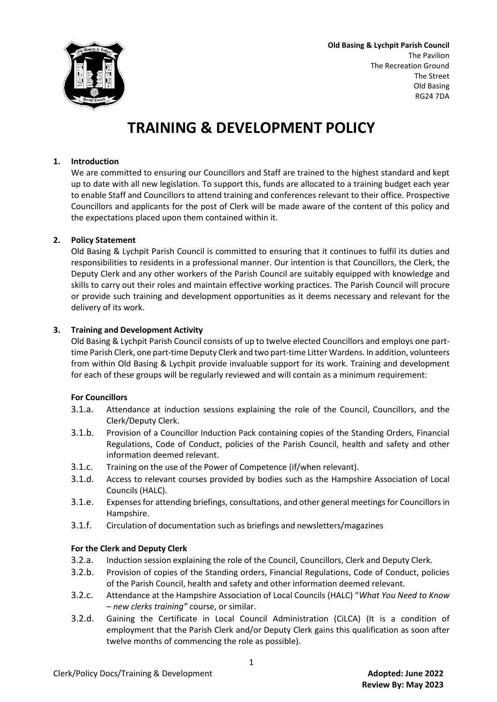

**Old Basing & Lychpit Parish Council** The Pavilion The Recreation Ground The Street Old Basing RG24 7DA

# **TRAINING & DEVELOPMENT POLICY**

# **1. Introduction**

We are committed to ensuring our Councillors and Staff are trained to the highest standard and kept up to date with all new legislation. To support this, funds are allocated to a training budget each year to enable Staff and Councillors to attend training and conferences relevant to their office. Prospective Councillors and applicants for the post of Clerk will be made aware of the content of this policy and the expectations placed upon them contained within it.

## **2. Policy Statement**

Old Basing & Lychpit Parish Council is committed to ensuring that it continues to fulfil its duties and responsibilities to residents in a professional manner. Our intention is that Councillors, the Clerk, the Deputy Clerk and any other workers of the Parish Council are suitably equipped with knowledge and skills to carry out their roles and maintain effective working practices. The Parish Council will procure or provide such training and development opportunities as it deems necessary and relevant for the delivery of its work.

## **3. Training and Development Activity**

Old Basing & Lychpit Parish Council consists of up to twelve elected Councillors and employs one parttime Parish Clerk, one part-time Deputy Clerk and two part-time Litter Wardens. In addition, volunteers from within Old Basing & Lychpit provide invaluable support for its work. Training and development for each of these groups will be regularly reviewed and will contain as a minimum requirement:

## **For Councillors**

- 3.1.a. Attendance at induction sessions explaining the role of the Council, Councillors, and the Clerk/Deputy Clerk.
- 3.1.b. Provision of a Councillor Induction Pack containing copies of the Standing Orders, Financial Regulations, Code of Conduct, policies of the Parish Council, health and safety and other information deemed relevant.
- 3.1.c. Training on the use of the Power of Competence (if/when relevant).
- 3.1.d. Access to relevant courses provided by bodies such as the Hampshire Association of Local Councils (HALC).
- 3.1.e. Expenses for attending briefings, consultations, and other general meetings for Councillors in Hampshire.
- 3.1.f. Circulation of documentation such as briefings and newsletters/magazines

# **For the Clerk and Deputy Clerk**

- 3.2.a. Induction session explaining the role of the Council, Councillors, Clerk and Deputy Clerk.
- 3.2.b. Provision of copies of the Standing orders, Financial Regulations, Code of Conduct, policies of the Parish Council, health and safety and other information deemed relevant.
- 3.2.c. Attendance at the Hampshire Association of Local Councils (HALC) "*What You Need to Know – new clerks training"* course, or similar.
- 3.2.d. Gaining the Certificate in Local Council Administration (CiLCA) (It is a condition of employment that the Parish Clerk and/or Deputy Clerk gains this qualification as soon after twelve months of commencing the role as possible).

1